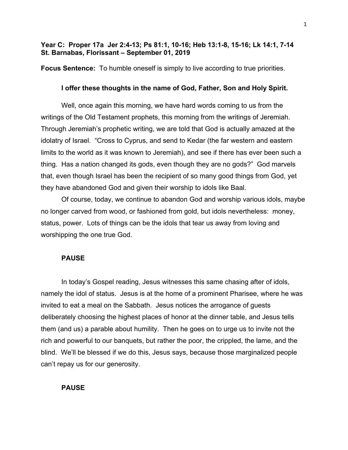# **Year C: Proper 17a Jer 2:4-13; Ps 81:1, 10-16; Heb 13:1-8, 15-16; Lk 14:1, 7-14 St. Barnabas, Florissant – September 01, 2019**

**Focus Sentence:** To humble oneself is simply to live according to true priorities.

# **I offer these thoughts in the name of God, Father, Son and Holy Spirit.**

Well, once again this morning, we have hard words coming to us from the writings of the Old Testament prophets, this morning from the writings of Jeremiah. Through Jeremiah's prophetic writing, we are told that God is actually amazed at the idolatry of Israel. "Cross to Cyprus, and send to Kedar (the far western and eastern limits to the world as it was known to Jeremiah), and see if there has ever been such a thing. Has a nation changed its gods, even though they are no gods?" God marvels that, even though Israel has been the recipient of so many good things from God, yet they have abandoned God and given their worship to idols like Baal.

Of course, today, we continue to abandon God and worship various idols, maybe no longer carved from wood, or fashioned from gold, but idols nevertheless: money, status, power. Lots of things can be the idols that tear us away from loving and worshipping the one true God.

#### **PAUSE**

In today's Gospel reading, Jesus witnesses this same chasing after of idols, namely the idol of status. Jesus is at the home of a prominent Pharisee, where he was invited to eat a meal on the Sabbath. Jesus notices the arrogance of guests deliberately choosing the highest places of honor at the dinner table, and Jesus tells them (and us) a parable about humility. Then he goes on to urge us to invite not the rich and powerful to our banquets, but rather the poor, the crippled, the lame, and the blind. We'll be blessed if we do this, Jesus says, because those marginalized people can't repay us for our generosity.

## **PAUSE**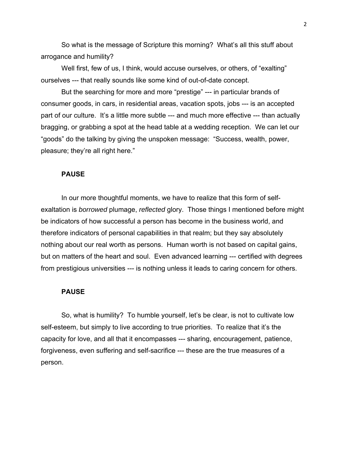So what is the message of Scripture this morning? What's all this stuff about arrogance and humility?

Well first, few of us, I think, would accuse ourselves, or others, of "exalting" ourselves --- that really sounds like some kind of out-of-date concept.

But the searching for more and more "prestige" --- in particular brands of consumer goods, in cars, in residential areas, vacation spots, jobs --- is an accepted part of our culture. It's a little more subtle --- and much more effective --- than actually bragging, or grabbing a spot at the head table at a wedding reception. We can let our "goods" do the talking by giving the unspoken message: "Success, wealth, power, pleasure; they're all right here."

#### **PAUSE**

In our more thoughtful moments, we have to realize that this form of selfexaltation is *borrowed* plumage, *reflected* glory. Those things I mentioned before might be indicators of how successful a person has become in the business world, and therefore indicators of personal capabilities in that realm; but they say absolutely nothing about our real worth as persons. Human worth is not based on capital gains, but on matters of the heart and soul. Even advanced learning --- certified with degrees from prestigious universities --- is nothing unless it leads to caring concern for others.

# **PAUSE**

So, what is humility? To humble yourself, let's be clear, is not to cultivate low self-esteem, but simply to live according to true priorities. To realize that it's the capacity for love, and all that it encompasses --- sharing, encouragement, patience, forgiveness, even suffering and self-sacrifice --- these are the true measures of a person.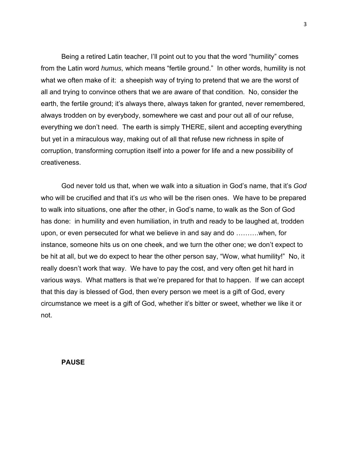Being a retired Latin teacher, I'll point out to you that the word "humility" comes from the Latin word *humus,* which means "fertile ground." In other words, humility is not what we often make of it: a sheepish way of trying to pretend that we are the worst of all and trying to convince others that we are aware of that condition. No, consider the earth, the fertile ground; it's always there, always taken for granted, never remembered, always trodden on by everybody, somewhere we cast and pour out all of our refuse, everything we don't need. The earth is simply THERE, silent and accepting everything but yet in a miraculous way, making out of all that refuse new richness in spite of corruption, transforming corruption itself into a power for life and a new possibility of creativeness.

God never told us that, when we walk into a situation in God's name, that it's *God* who will be crucified and that it's *us* who will be the risen ones. We have to be prepared to walk into situations, one after the other, in God's name, to walk as the Son of God has done: in humility and even humiliation, in truth and ready to be laughed at, trodden upon, or even persecuted for what we believe in and say and do ……….when, for instance, someone hits us on one cheek, and we turn the other one; we don't expect to be hit at all, but we do expect to hear the other person say, "Wow, what humility!" No, it really doesn't work that way. We have to pay the cost, and very often get hit hard in various ways. What matters is that we're prepared for that to happen. If we can accept that this day is blessed of God, then every person we meet is a gift of God, every circumstance we meet is a gift of God, whether it's bitter or sweet, whether we like it or not.

### **PAUSE**

3